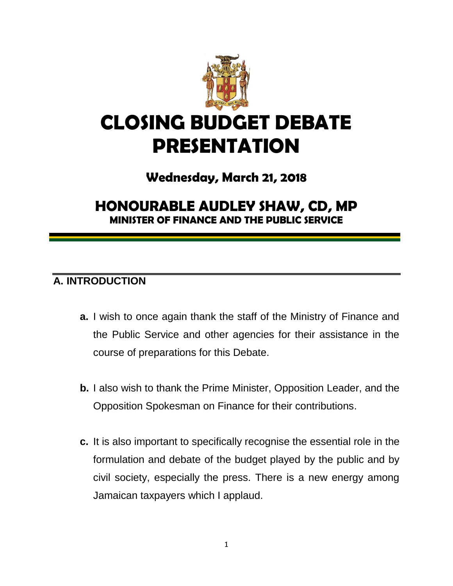

# **CLOSING BUDGET DEBATE PRESENTATION**

# **Wednesday, March 21, 2018**

# **HONOURABLE AUDLEY SHAW, CD, MP MINISTER OF FINANCE AND THE PUBLIC SERVICE**

# **A. INTRODUCTION**

- **a.** I wish to once again thank the staff of the Ministry of Finance and the Public Service and other agencies for their assistance in the course of preparations for this Debate.
- **b.** I also wish to thank the Prime Minister, Opposition Leader, and the Opposition Spokesman on Finance for their contributions.
- **c.** It is also important to specifically recognise the essential role in the formulation and debate of the budget played by the public and by civil society, especially the press. There is a new energy among Jamaican taxpayers which I applaud.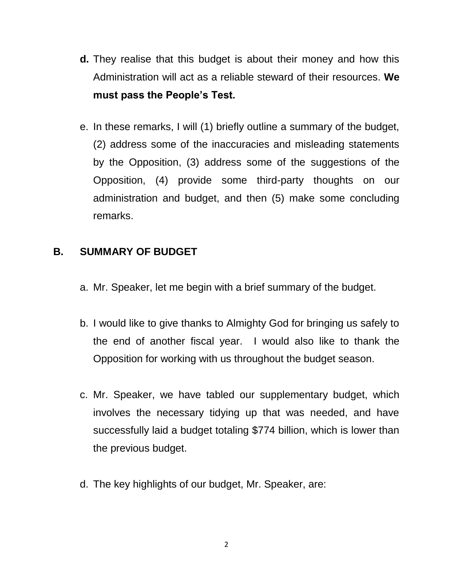- **d.** They realise that this budget is about their money and how this Administration will act as a reliable steward of their resources. **We must pass the People's Test.**
- e. In these remarks, I will (1) briefly outline a summary of the budget, (2) address some of the inaccuracies and misleading statements by the Opposition, (3) address some of the suggestions of the Opposition, (4) provide some third-party thoughts on our administration and budget, and then (5) make some concluding remarks.

## **B. SUMMARY OF BUDGET**

- a. Mr. Speaker, let me begin with a brief summary of the budget.
- b. I would like to give thanks to Almighty God for bringing us safely to the end of another fiscal year. I would also like to thank the Opposition for working with us throughout the budget season.
- c. Mr. Speaker, we have tabled our supplementary budget, which involves the necessary tidying up that was needed, and have successfully laid a budget totaling \$774 billion, which is lower than the previous budget.
- d. The key highlights of our budget, Mr. Speaker, are: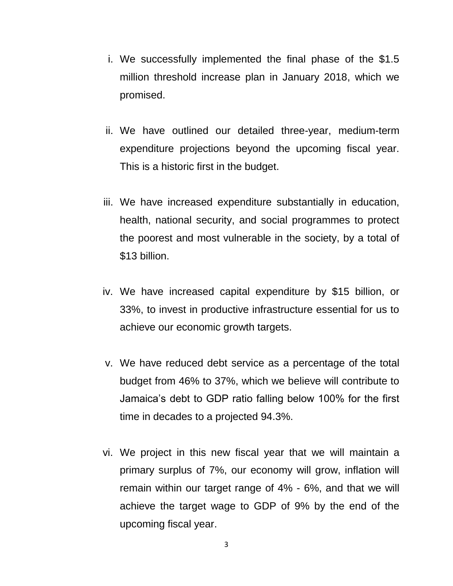- i. We successfully implemented the final phase of the \$1.5 million threshold increase plan in January 2018, which we promised.
- ii. We have outlined our detailed three-year, medium-term expenditure projections beyond the upcoming fiscal year. This is a historic first in the budget.
- iii. We have increased expenditure substantially in education, health, national security, and social programmes to protect the poorest and most vulnerable in the society, by a total of \$13 billion.
- iv. We have increased capital expenditure by \$15 billion, or 33%, to invest in productive infrastructure essential for us to achieve our economic growth targets.
- v. We have reduced debt service as a percentage of the total budget from 46% to 37%, which we believe will contribute to Jamaica's debt to GDP ratio falling below 100% for the first time in decades to a projected 94.3%.
- vi. We project in this new fiscal year that we will maintain a primary surplus of 7%, our economy will grow, inflation will remain within our target range of 4% - 6%, and that we will achieve the target wage to GDP of 9% by the end of the upcoming fiscal year.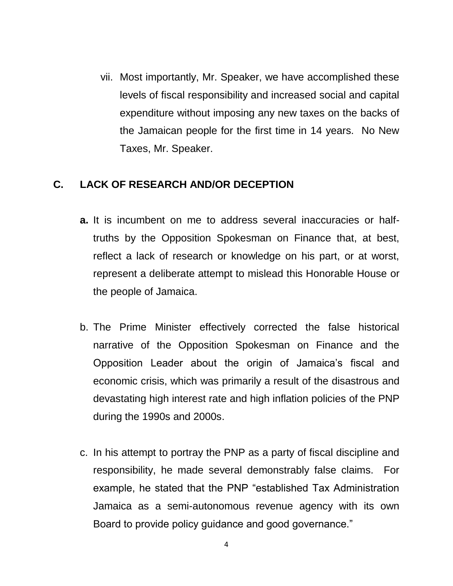vii. Most importantly, Mr. Speaker, we have accomplished these levels of fiscal responsibility and increased social and capital expenditure without imposing any new taxes on the backs of the Jamaican people for the first time in 14 years. No New Taxes, Mr. Speaker.

#### **C. LACK OF RESEARCH AND/OR DECEPTION**

- **a.** It is incumbent on me to address several inaccuracies or halftruths by the Opposition Spokesman on Finance that, at best, reflect a lack of research or knowledge on his part, or at worst, represent a deliberate attempt to mislead this Honorable House or the people of Jamaica.
- b. The Prime Minister effectively corrected the false historical narrative of the Opposition Spokesman on Finance and the Opposition Leader about the origin of Jamaica's fiscal and economic crisis, which was primarily a result of the disastrous and devastating high interest rate and high inflation policies of the PNP during the 1990s and 2000s.
- c. In his attempt to portray the PNP as a party of fiscal discipline and responsibility, he made several demonstrably false claims. For example, he stated that the PNP "established Tax Administration Jamaica as a semi-autonomous revenue agency with its own Board to provide policy guidance and good governance."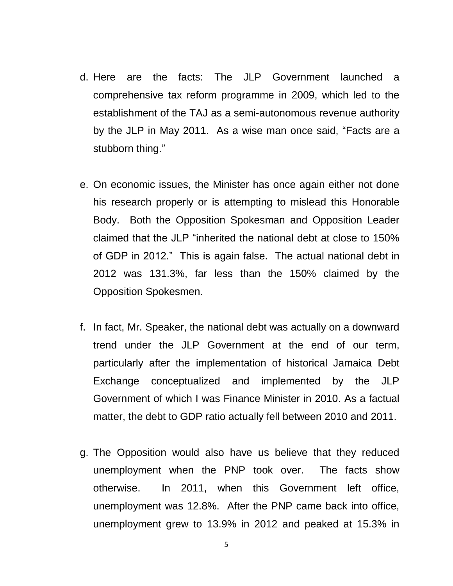- d. Here are the facts: The JLP Government launched a comprehensive tax reform programme in 2009, which led to the establishment of the TAJ as a semi-autonomous revenue authority by the JLP in May 2011. As a wise man once said, "Facts are a stubborn thing."
- e. On economic issues, the Minister has once again either not done his research properly or is attempting to mislead this Honorable Body. Both the Opposition Spokesman and Opposition Leader claimed that the JLP "inherited the national debt at close to 150% of GDP in 2012." This is again false. The actual national debt in 2012 was 131.3%, far less than the 150% claimed by the Opposition Spokesmen.
- f. In fact, Mr. Speaker, the national debt was actually on a downward trend under the JLP Government at the end of our term, particularly after the implementation of historical Jamaica Debt Exchange conceptualized and implemented by the JLP Government of which I was Finance Minister in 2010. As a factual matter, the debt to GDP ratio actually fell between 2010 and 2011.
- g. The Opposition would also have us believe that they reduced unemployment when the PNP took over. The facts show otherwise. In 2011, when this Government left office, unemployment was 12.8%. After the PNP came back into office, unemployment grew to 13.9% in 2012 and peaked at 15.3% in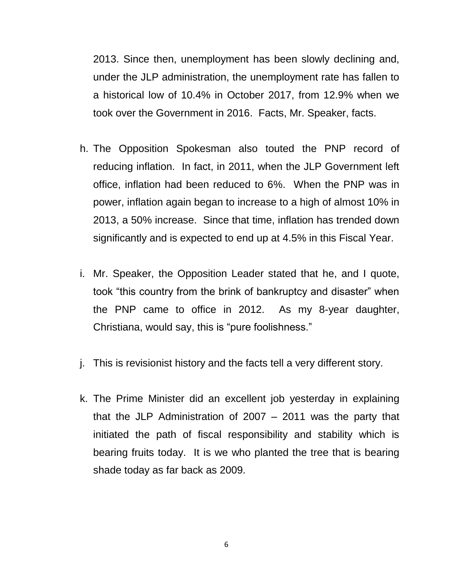2013. Since then, unemployment has been slowly declining and, under the JLP administration, the unemployment rate has fallen to a historical low of 10.4% in October 2017, from 12.9% when we took over the Government in 2016. Facts, Mr. Speaker, facts.

- h. The Opposition Spokesman also touted the PNP record of reducing inflation. In fact, in 2011, when the JLP Government left office, inflation had been reduced to 6%. When the PNP was in power, inflation again began to increase to a high of almost 10% in 2013, a 50% increase. Since that time, inflation has trended down significantly and is expected to end up at 4.5% in this Fiscal Year.
- i. Mr. Speaker, the Opposition Leader stated that he, and I quote, took "this country from the brink of bankruptcy and disaster" when the PNP came to office in 2012. As my 8-year daughter, Christiana, would say, this is "pure foolishness."
- j. This is revisionist history and the facts tell a very different story.
- k. The Prime Minister did an excellent job yesterday in explaining that the JLP Administration of 2007 – 2011 was the party that initiated the path of fiscal responsibility and stability which is bearing fruits today. It is we who planted the tree that is bearing shade today as far back as 2009.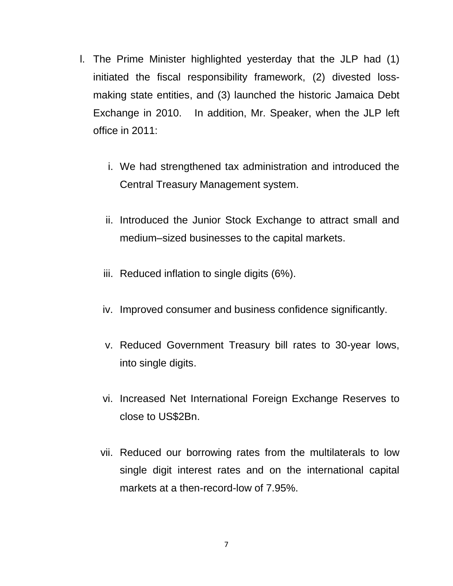- l. The Prime Minister highlighted yesterday that the JLP had (1) initiated the fiscal responsibility framework, (2) divested lossmaking state entities, and (3) launched the historic Jamaica Debt Exchange in 2010. In addition, Mr. Speaker, when the JLP left office in 2011:
	- i. We had strengthened tax administration and introduced the Central Treasury Management system.
	- ii. Introduced the Junior Stock Exchange to attract small and medium–sized businesses to the capital markets.
	- iii. Reduced inflation to single digits (6%).
	- iv. Improved consumer and business confidence significantly.
	- v. Reduced Government Treasury bill rates to 30-year lows, into single digits.
	- vi. Increased Net International Foreign Exchange Reserves to close to US\$2Bn.
	- vii. Reduced our borrowing rates from the multilaterals to low single digit interest rates and on the international capital markets at a then-record-low of 7.95%.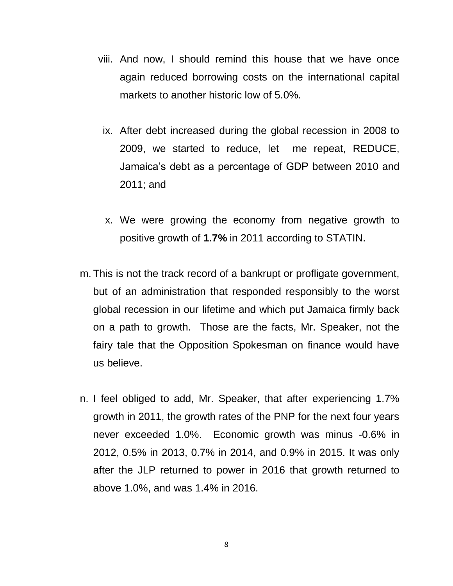- viii. And now, I should remind this house that we have once again reduced borrowing costs on the international capital markets to another historic low of 5.0%.
- ix. After debt increased during the global recession in 2008 to 2009, we started to reduce, let me repeat, REDUCE, Jamaica's debt as a percentage of GDP between 2010 and 2011; and
- x. We were growing the economy from negative growth to positive growth of **1.7%** in 2011 according to STATIN.
- m. This is not the track record of a bankrupt or profligate government, but of an administration that responded responsibly to the worst global recession in our lifetime and which put Jamaica firmly back on a path to growth. Those are the facts, Mr. Speaker, not the fairy tale that the Opposition Spokesman on finance would have us believe.
- n. I feel obliged to add, Mr. Speaker, that after experiencing 1.7% growth in 2011, the growth rates of the PNP for the next four years never exceeded 1.0%. Economic growth was minus -0.6% in 2012, 0.5% in 2013, 0.7% in 2014, and 0.9% in 2015. It was only after the JLP returned to power in 2016 that growth returned to above 1.0%, and was 1.4% in 2016.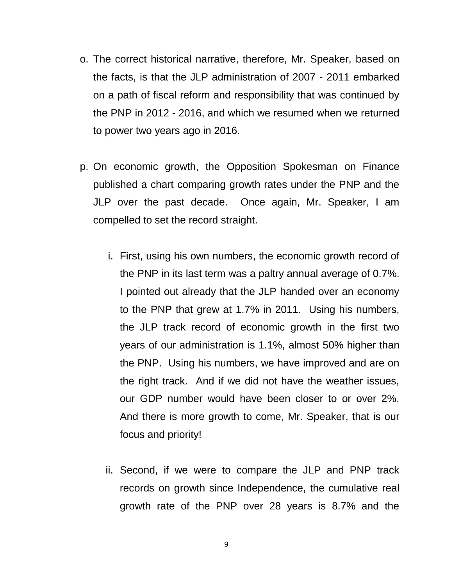- o. The correct historical narrative, therefore, Mr. Speaker, based on the facts, is that the JLP administration of 2007 - 2011 embarked on a path of fiscal reform and responsibility that was continued by the PNP in 2012 - 2016, and which we resumed when we returned to power two years ago in 2016.
- p. On economic growth, the Opposition Spokesman on Finance published a chart comparing growth rates under the PNP and the JLP over the past decade. Once again, Mr. Speaker, I am compelled to set the record straight.
	- i. First, using his own numbers, the economic growth record of the PNP in its last term was a paltry annual average of 0.7%. I pointed out already that the JLP handed over an economy to the PNP that grew at 1.7% in 2011. Using his numbers, the JLP track record of economic growth in the first two years of our administration is 1.1%, almost 50% higher than the PNP. Using his numbers, we have improved and are on the right track. And if we did not have the weather issues, our GDP number would have been closer to or over 2%. And there is more growth to come, Mr. Speaker, that is our focus and priority!
	- ii. Second, if we were to compare the JLP and PNP track records on growth since Independence, the cumulative real growth rate of the PNP over 28 years is 8.7% and the

9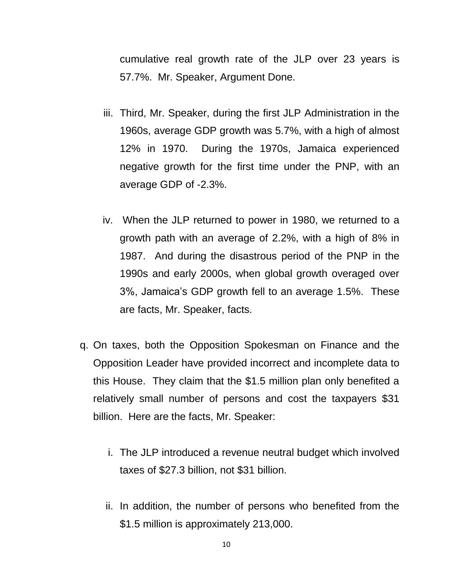cumulative real growth rate of the JLP over 23 years is 57.7%. Mr. Speaker, Argument Done.

- iii. Third, Mr. Speaker, during the first JLP Administration in the 1960s, average GDP growth was 5.7%, with a high of almost 12% in 1970. During the 1970s, Jamaica experienced negative growth for the first time under the PNP, with an average GDP of -2.3%.
- iv. When the JLP returned to power in 1980, we returned to a growth path with an average of 2.2%, with a high of 8% in 1987. And during the disastrous period of the PNP in the 1990s and early 2000s, when global growth overaged over 3%, Jamaica's GDP growth fell to an average 1.5%. These are facts, Mr. Speaker, facts.
- q. On taxes, both the Opposition Spokesman on Finance and the Opposition Leader have provided incorrect and incomplete data to this House. They claim that the \$1.5 million plan only benefited a relatively small number of persons and cost the taxpayers \$31 billion. Here are the facts, Mr. Speaker:
	- i. The JLP introduced a revenue neutral budget which involved taxes of \$27.3 billion, not \$31 billion.
	- ii. In addition, the number of persons who benefited from the \$1.5 million is approximately 213,000.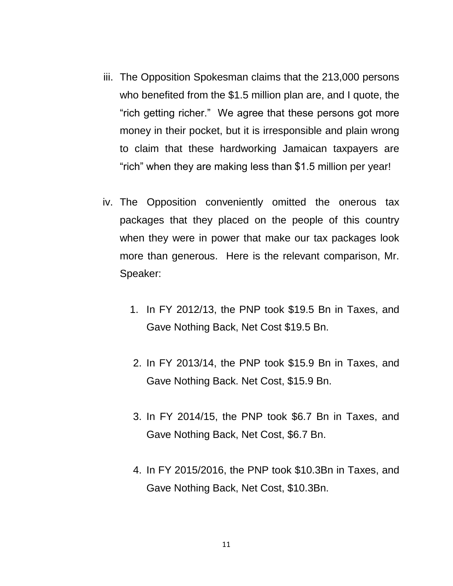- iii. The Opposition Spokesman claims that the 213,000 persons who benefited from the \$1.5 million plan are, and I quote, the "rich getting richer." We agree that these persons got more money in their pocket, but it is irresponsible and plain wrong to claim that these hardworking Jamaican taxpayers are "rich" when they are making less than \$1.5 million per year!
- iv. The Opposition conveniently omitted the onerous tax packages that they placed on the people of this country when they were in power that make our tax packages look more than generous. Here is the relevant comparison, Mr. Speaker:
	- 1. In FY 2012/13, the PNP took \$19.5 Bn in Taxes, and Gave Nothing Back, Net Cost \$19.5 Bn.
	- 2. In FY 2013/14, the PNP took \$15.9 Bn in Taxes, and Gave Nothing Back. Net Cost, \$15.9 Bn.
	- 3. In FY 2014/15, the PNP took \$6.7 Bn in Taxes, and Gave Nothing Back, Net Cost, \$6.7 Bn.
	- 4. In FY 2015/2016, the PNP took \$10.3Bn in Taxes, and Gave Nothing Back, Net Cost, \$10.3Bn.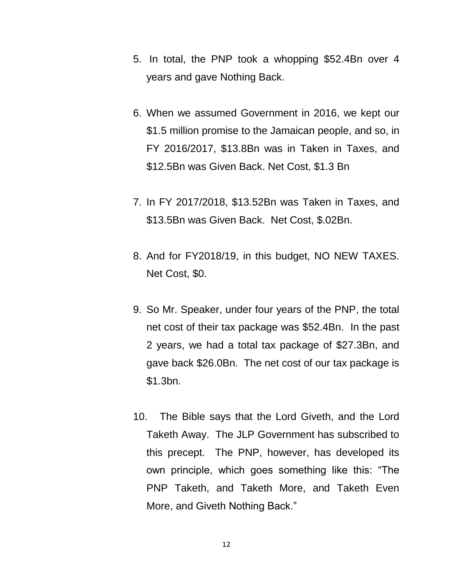- 5. In total, the PNP took a whopping \$52.4Bn over 4 years and gave Nothing Back.
- 6. When we assumed Government in 2016, we kept our \$1.5 million promise to the Jamaican people, and so, in FY 2016/2017, \$13.8Bn was in Taken in Taxes, and \$12.5Bn was Given Back. Net Cost, \$1.3 Bn
- 7. In FY 2017/2018, \$13.52Bn was Taken in Taxes, and \$13.5Bn was Given Back. Net Cost, \$.02Bn.
- 8. And for FY2018/19, in this budget, NO NEW TAXES. Net Cost, \$0.
- 9. So Mr. Speaker, under four years of the PNP, the total net cost of their tax package was \$52.4Bn. In the past 2 years, we had a total tax package of \$27.3Bn, and gave back \$26.0Bn. The net cost of our tax package is \$1.3bn.
- 10. The Bible says that the Lord Giveth, and the Lord Taketh Away. The JLP Government has subscribed to this precept. The PNP, however, has developed its own principle, which goes something like this: "The PNP Taketh, and Taketh More, and Taketh Even More, and Giveth Nothing Back."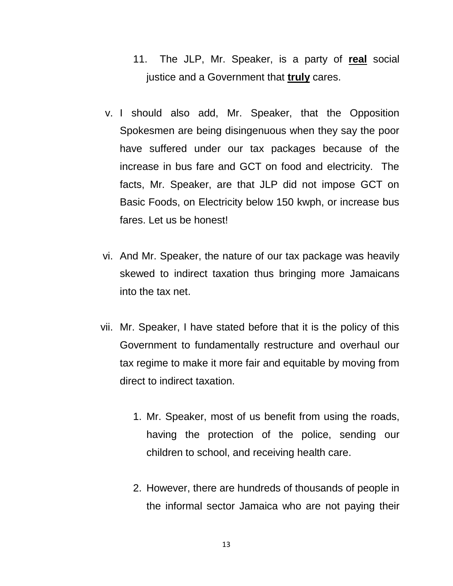- 11. The JLP, Mr. Speaker, is a party of **real** social justice and a Government that **truly** cares.
- v. I should also add, Mr. Speaker, that the Opposition Spokesmen are being disingenuous when they say the poor have suffered under our tax packages because of the increase in bus fare and GCT on food and electricity. The facts, Mr. Speaker, are that JLP did not impose GCT on Basic Foods, on Electricity below 150 kwph, or increase bus fares. Let us be honest!
- vi. And Mr. Speaker, the nature of our tax package was heavily skewed to indirect taxation thus bringing more Jamaicans into the tax net.
- vii. Mr. Speaker, I have stated before that it is the policy of this Government to fundamentally restructure and overhaul our tax regime to make it more fair and equitable by moving from direct to indirect taxation.
	- 1. Mr. Speaker, most of us benefit from using the roads, having the protection of the police, sending our children to school, and receiving health care.
	- 2. However, there are hundreds of thousands of people in the informal sector Jamaica who are not paying their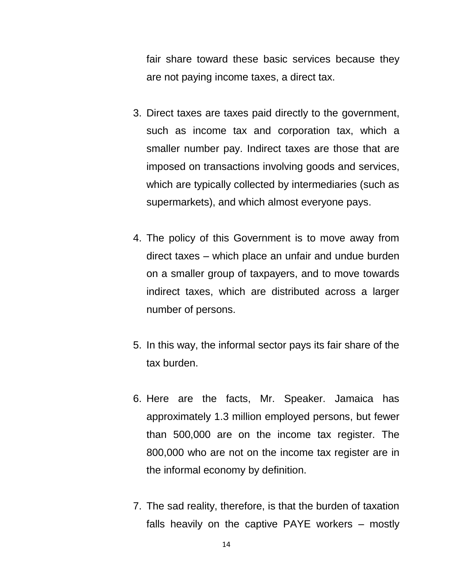fair share toward these basic services because they are not paying income taxes, a direct tax.

- 3. Direct taxes are taxes paid directly to the government, such as income tax and corporation tax, which a smaller number pay. Indirect taxes are those that are imposed on transactions involving goods and services, which are typically collected by intermediaries (such as supermarkets), and which almost everyone pays.
- 4. The policy of this Government is to move away from direct taxes – which place an unfair and undue burden on a smaller group of taxpayers, and to move towards indirect taxes, which are distributed across a larger number of persons.
- 5. In this way, the informal sector pays its fair share of the tax burden.
- 6. Here are the facts, Mr. Speaker. Jamaica has approximately 1.3 million employed persons, but fewer than 500,000 are on the income tax register. The 800,000 who are not on the income tax register are in the informal economy by definition.
- 7. The sad reality, therefore, is that the burden of taxation falls heavily on the captive PAYE workers – mostly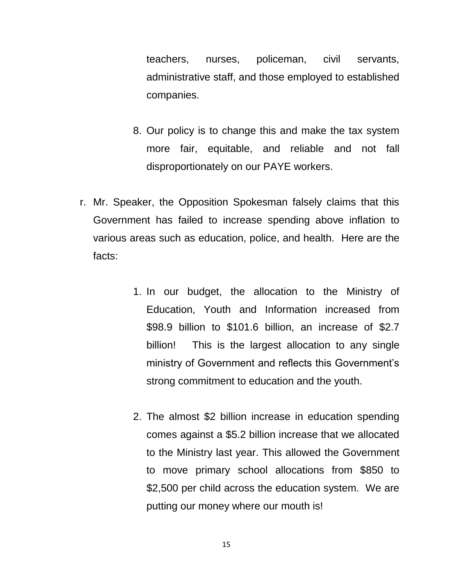teachers, nurses, policeman, civil servants, administrative staff, and those employed to established companies.

- 8. Our policy is to change this and make the tax system more fair, equitable, and reliable and not fall disproportionately on our PAYE workers.
- r. Mr. Speaker, the Opposition Spokesman falsely claims that this Government has failed to increase spending above inflation to various areas such as education, police, and health. Here are the facts:
	- 1. In our budget, the allocation to the Ministry of Education, Youth and Information increased from \$98.9 billion to \$101.6 billion, an increase of \$2.7 billion! This is the largest allocation to any single ministry of Government and reflects this Government's strong commitment to education and the youth.
	- 2. The almost \$2 billion increase in education spending comes against a \$5.2 billion increase that we allocated to the Ministry last year. This allowed the Government to move primary school allocations from \$850 to \$2,500 per child across the education system. We are putting our money where our mouth is!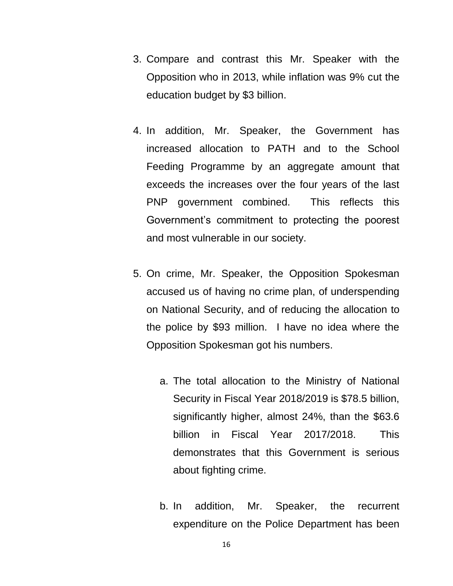- 3. Compare and contrast this Mr. Speaker with the Opposition who in 2013, while inflation was 9% cut the education budget by \$3 billion.
- 4. In addition, Mr. Speaker, the Government has increased allocation to PATH and to the School Feeding Programme by an aggregate amount that exceeds the increases over the four years of the last PNP government combined. This reflects this Government's commitment to protecting the poorest and most vulnerable in our society.
- 5. On crime, Mr. Speaker, the Opposition Spokesman accused us of having no crime plan, of underspending on National Security, and of reducing the allocation to the police by \$93 million. I have no idea where the Opposition Spokesman got his numbers.
	- a. The total allocation to the Ministry of National Security in Fiscal Year 2018/2019 is \$78.5 billion, significantly higher, almost 24%, than the \$63.6 billion in Fiscal Year 2017/2018. This demonstrates that this Government is serious about fighting crime.
	- b. In addition, Mr. Speaker, the recurrent expenditure on the Police Department has been

16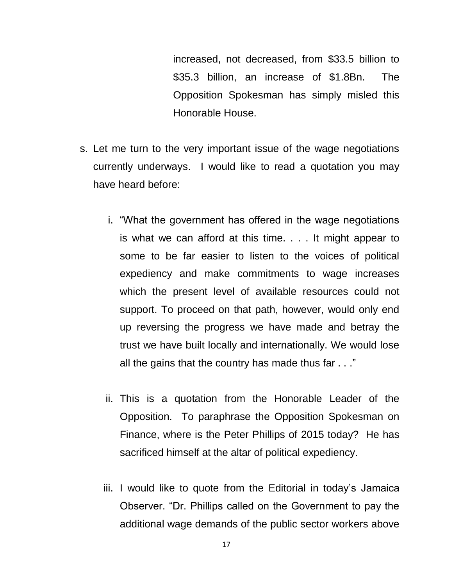increased, not decreased, from \$33.5 billion to \$35.3 billion, an increase of \$1.8Bn. The Opposition Spokesman has simply misled this Honorable House.

- s. Let me turn to the very important issue of the wage negotiations currently underways. I would like to read a quotation you may have heard before:
	- i. "What the government has offered in the wage negotiations is what we can afford at this time. . . . It might appear to some to be far easier to listen to the voices of political expediency and make commitments to wage increases which the present level of available resources could not support. To proceed on that path, however, would only end up reversing the progress we have made and betray the trust we have built locally and internationally. We would lose all the gains that the country has made thus far . . ."
	- ii. This is a quotation from the Honorable Leader of the Opposition. To paraphrase the Opposition Spokesman on Finance, where is the Peter Phillips of 2015 today? He has sacrificed himself at the altar of political expediency.
	- iii. I would like to quote from the Editorial in today's Jamaica Observer. "Dr. Phillips called on the Government to pay the additional wage demands of the public sector workers above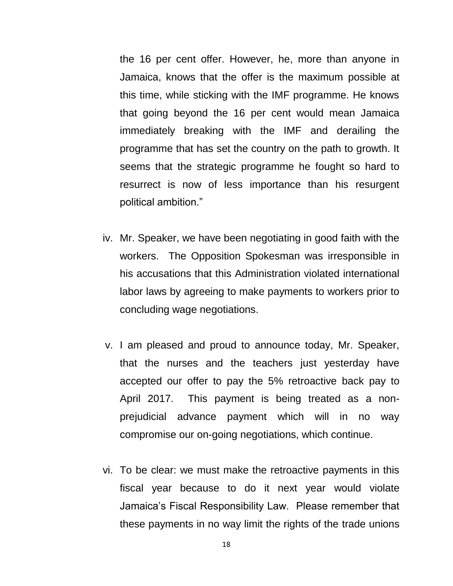the 16 per cent offer. However, he, more than anyone in Jamaica, knows that the offer is the maximum possible at this time, while sticking with the IMF programme. He knows that going beyond the 16 per cent would mean Jamaica immediately breaking with the IMF and derailing the programme that has set the country on the path to growth. It seems that the strategic programme he fought so hard to resurrect is now of less importance than his resurgent political ambition."

- iv. Mr. Speaker, we have been negotiating in good faith with the workers. The Opposition Spokesman was irresponsible in his accusations that this Administration violated international labor laws by agreeing to make payments to workers prior to concluding wage negotiations.
- v. I am pleased and proud to announce today, Mr. Speaker, that the nurses and the teachers just yesterday have accepted our offer to pay the 5% retroactive back pay to April 2017. This payment is being treated as a nonprejudicial advance payment which will in no way compromise our on-going negotiations, which continue.
- vi. To be clear: we must make the retroactive payments in this fiscal year because to do it next year would violate Jamaica's Fiscal Responsibility Law. Please remember that these payments in no way limit the rights of the trade unions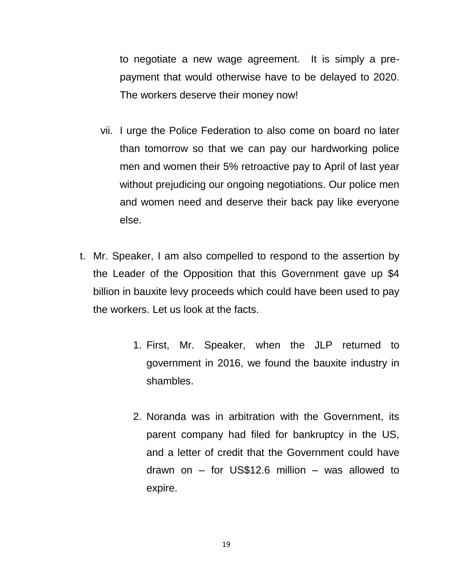to negotiate a new wage agreement. It is simply a prepayment that would otherwise have to be delayed to 2020. The workers deserve their money now!

- vii. I urge the Police Federation to also come on board no later than tomorrow so that we can pay our hardworking police men and women their 5% retroactive pay to April of last year without prejudicing our ongoing negotiations. Our police men and women need and deserve their back pay like everyone else.
- t. Mr. Speaker, I am also compelled to respond to the assertion by the Leader of the Opposition that this Government gave up \$4 billion in bauxite levy proceeds which could have been used to pay the workers. Let us look at the facts.
	- 1. First, Mr. Speaker, when the JLP returned to government in 2016, we found the bauxite industry in shambles.
	- 2. Noranda was in arbitration with the Government, its parent company had filed for bankruptcy in the US, and a letter of credit that the Government could have drawn on – for US\$12.6 million – was allowed to expire.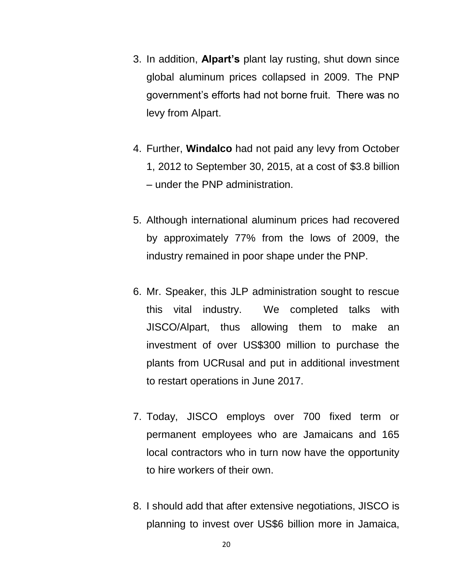- 3. In addition, **Alpart's** plant lay rusting, shut down since global aluminum prices collapsed in 2009. The PNP government's efforts had not borne fruit. There was no levy from Alpart.
- 4. Further, **Windalco** had not paid any levy from October 1, 2012 to September 30, 2015, at a cost of \$3.8 billion – under the PNP administration.
- 5. Although international aluminum prices had recovered by approximately 77% from the lows of 2009, the industry remained in poor shape under the PNP.
- 6. Mr. Speaker, this JLP administration sought to rescue this vital industry. We completed talks with JISCO/Alpart, thus allowing them to make an investment of over US\$300 million to purchase the plants from UCRusal and put in additional investment to restart operations in June 2017.
- 7. Today, JISCO employs over 700 fixed term or permanent employees who are Jamaicans and 165 local contractors who in turn now have the opportunity to hire workers of their own.
- 8. I should add that after extensive negotiations, JISCO is planning to invest over US\$6 billion more in Jamaica,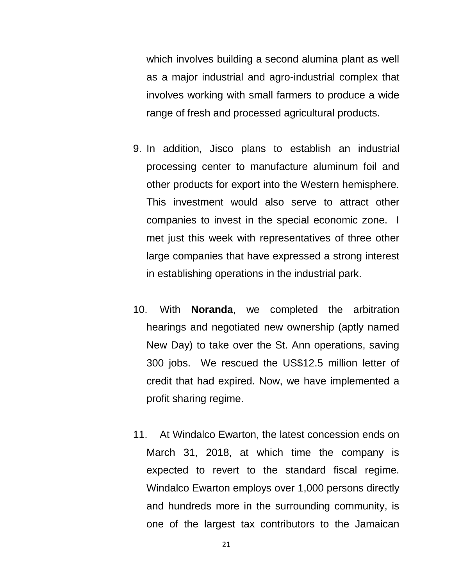which involves building a second alumina plant as well as a major industrial and agro-industrial complex that involves working with small farmers to produce a wide range of fresh and processed agricultural products.

- 9. In addition, Jisco plans to establish an industrial processing center to manufacture aluminum foil and other products for export into the Western hemisphere. This investment would also serve to attract other companies to invest in the special economic zone. I met just this week with representatives of three other large companies that have expressed a strong interest in establishing operations in the industrial park.
- 10. With **Noranda**, we completed the arbitration hearings and negotiated new ownership (aptly named New Day) to take over the St. Ann operations, saving 300 jobs. We rescued the US\$12.5 million letter of credit that had expired. Now, we have implemented a profit sharing regime.
- 11. At Windalco Ewarton, the latest concession ends on March 31, 2018, at which time the company is expected to revert to the standard fiscal regime. Windalco Ewarton employs over 1,000 persons directly and hundreds more in the surrounding community, is one of the largest tax contributors to the Jamaican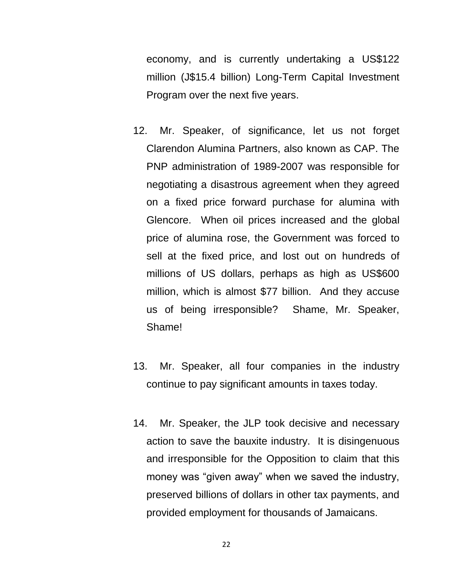economy, and is currently undertaking a US\$122 million (J\$15.4 billion) Long-Term Capital Investment Program over the next five years.

- 12. Mr. Speaker, of significance, let us not forget Clarendon Alumina Partners, also known as CAP. The PNP administration of 1989-2007 was responsible for negotiating a disastrous agreement when they agreed on a fixed price forward purchase for alumina with Glencore. When oil prices increased and the global price of alumina rose, the Government was forced to sell at the fixed price, and lost out on hundreds of millions of US dollars, perhaps as high as US\$600 million, which is almost \$77 billion. And they accuse us of being irresponsible? Shame, Mr. Speaker, Shame!
- 13. Mr. Speaker, all four companies in the industry continue to pay significant amounts in taxes today.
- 14. Mr. Speaker, the JLP took decisive and necessary action to save the bauxite industry. It is disingenuous and irresponsible for the Opposition to claim that this money was "given away" when we saved the industry, preserved billions of dollars in other tax payments, and provided employment for thousands of Jamaicans.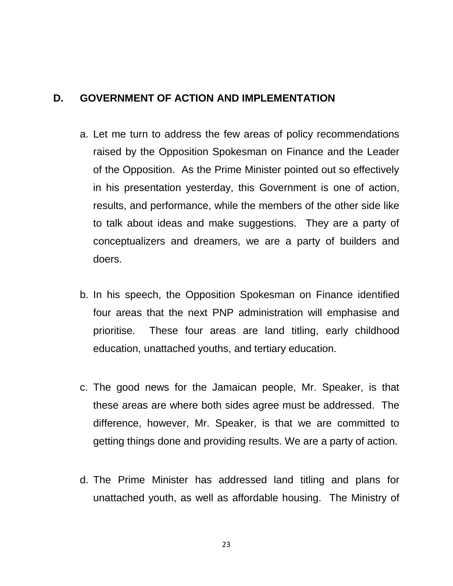#### **D. GOVERNMENT OF ACTION AND IMPLEMENTATION**

- a. Let me turn to address the few areas of policy recommendations raised by the Opposition Spokesman on Finance and the Leader of the Opposition. As the Prime Minister pointed out so effectively in his presentation yesterday, this Government is one of action, results, and performance, while the members of the other side like to talk about ideas and make suggestions. They are a party of conceptualizers and dreamers, we are a party of builders and doers.
- b. In his speech, the Opposition Spokesman on Finance identified four areas that the next PNP administration will emphasise and prioritise. These four areas are land titling, early childhood education, unattached youths, and tertiary education.
- c. The good news for the Jamaican people, Mr. Speaker, is that these areas are where both sides agree must be addressed. The difference, however, Mr. Speaker, is that we are committed to getting things done and providing results. We are a party of action.
- d. The Prime Minister has addressed land titling and plans for unattached youth, as well as affordable housing. The Ministry of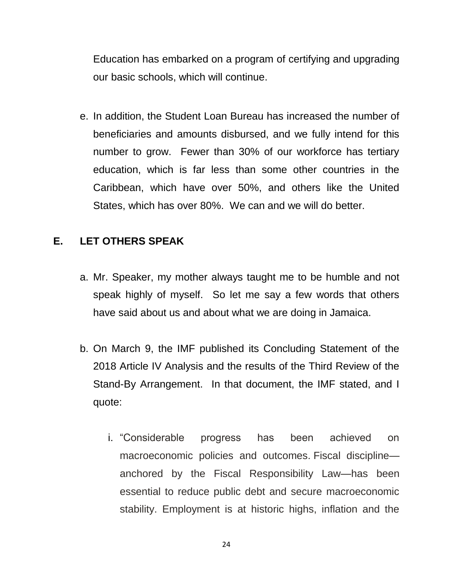Education has embarked on a program of certifying and upgrading our basic schools, which will continue.

e. In addition, the Student Loan Bureau has increased the number of beneficiaries and amounts disbursed, and we fully intend for this number to grow. Fewer than 30% of our workforce has tertiary education, which is far less than some other countries in the Caribbean, which have over 50%, and others like the United States, which has over 80%. We can and we will do better.

## **E. LET OTHERS SPEAK**

- a. Mr. Speaker, my mother always taught me to be humble and not speak highly of myself. So let me say a few words that others have said about us and about what we are doing in Jamaica.
- b. On March 9, the IMF published its Concluding Statement of the 2018 Article IV Analysis and the results of the Third Review of the Stand-By Arrangement. In that document, the IMF stated, and I quote:
	- i. "Considerable progress has been achieved on macroeconomic policies and outcomes. Fiscal discipline anchored by the Fiscal Responsibility Law—has been essential to reduce public debt and secure macroeconomic stability. Employment is at historic highs, inflation and the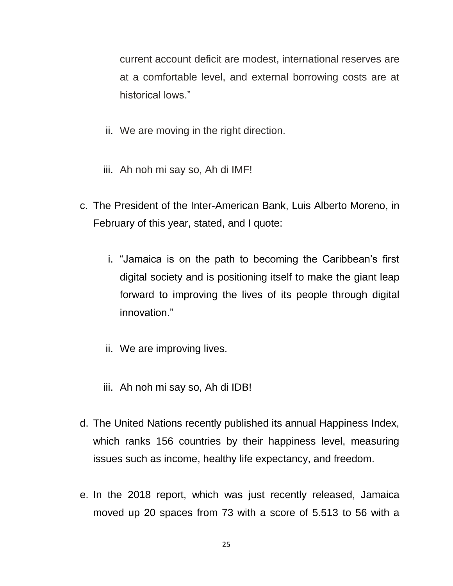current account deficit are modest, international reserves are at a comfortable level, and external borrowing costs are at historical lows."

- ii. We are moving in the right direction.
- iii. Ah noh mi say so, Ah di IMF!
- c. The President of the Inter-American Bank, Luis Alberto Moreno, in February of this year, stated, and I quote:
	- i. "Jamaica is on the path to becoming the Caribbean's first digital society and is positioning itself to make the giant leap forward to improving the lives of its people through digital innovation."
	- ii. We are improving lives.
	- iii. Ah noh mi say so, Ah di IDB!
- d. The United Nations recently published its annual Happiness Index, which ranks 156 countries by their happiness level, measuring issues such as income, healthy life expectancy, and freedom.
- e. In the 2018 report, which was just recently released, Jamaica moved up 20 spaces from 73 with a score of 5.513 to 56 with a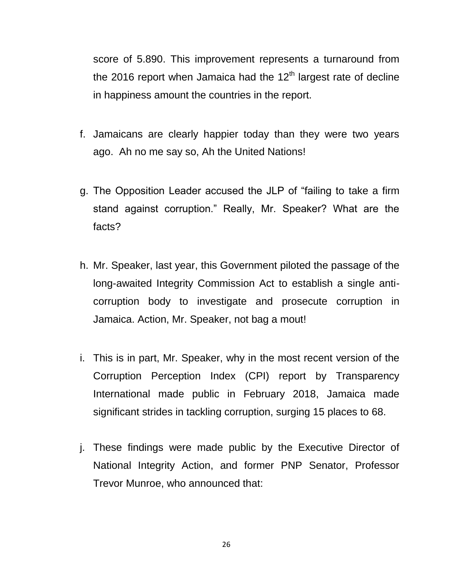score of 5.890. This improvement represents a turnaround from the 2016 report when Jamaica had the  $12<sup>th</sup>$  largest rate of decline in happiness amount the countries in the report.

- f. Jamaicans are clearly happier today than they were two years ago. Ah no me say so, Ah the United Nations!
- g. The Opposition Leader accused the JLP of "failing to take a firm stand against corruption." Really, Mr. Speaker? What are the facts?
- h. Mr. Speaker, last year, this Government piloted the passage of the long-awaited Integrity Commission Act to establish a single anticorruption body to investigate and prosecute corruption in Jamaica. Action, Mr. Speaker, not bag a mout!
- i. This is in part, Mr. Speaker, why in the most recent version of the Corruption Perception Index (CPI) report by Transparency International made public in February 2018, Jamaica made significant strides in tackling corruption, surging 15 places to 68.
- j. These findings were made public by the Executive Director of National Integrity Action, and former PNP Senator, Professor Trevor Munroe, who announced that:

26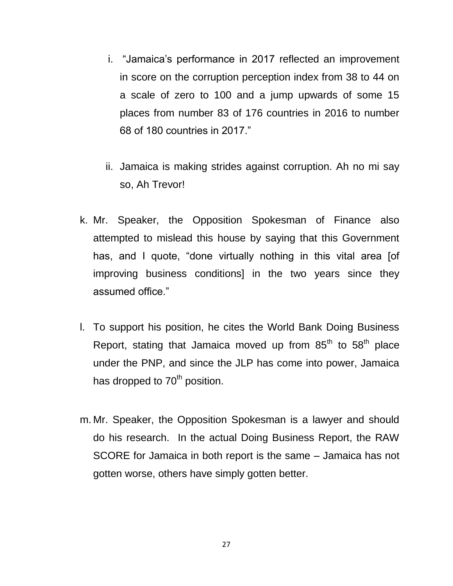- i. "Jamaica's performance in 2017 reflected an improvement in score on the corruption perception index from 38 to 44 on a scale of zero to 100 and a jump upwards of some 15 places from number 83 of 176 countries in 2016 to number 68 of 180 countries in 2017."
- ii. Jamaica is making strides against corruption. Ah no mi say so, Ah Trevor!
- k. Mr. Speaker, the Opposition Spokesman of Finance also attempted to mislead this house by saying that this Government has, and I quote, "done virtually nothing in this vital area [of improving business conditions] in the two years since they assumed office."
- l. To support his position, he cites the World Bank Doing Business Report, stating that Jamaica moved up from  $85<sup>th</sup>$  to  $58<sup>th</sup>$  place under the PNP, and since the JLP has come into power, Jamaica has dropped to  $70<sup>th</sup>$  position.
- m. Mr. Speaker, the Opposition Spokesman is a lawyer and should do his research. In the actual Doing Business Report, the RAW SCORE for Jamaica in both report is the same – Jamaica has not gotten worse, others have simply gotten better.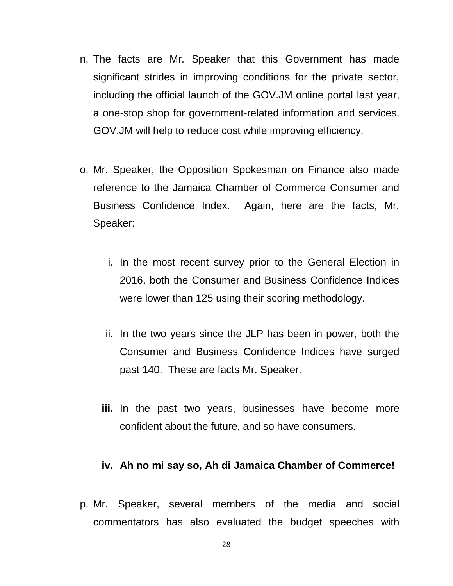- n. The facts are Mr. Speaker that this Government has made significant strides in improving conditions for the private sector, including the official launch of the GOV.JM online portal last year, a one-stop shop for government-related information and services, GOV.JM will help to reduce cost while improving efficiency.
- o. Mr. Speaker, the Opposition Spokesman on Finance also made reference to the Jamaica Chamber of Commerce Consumer and Business Confidence Index. Again, here are the facts, Mr. Speaker:
	- i. In the most recent survey prior to the General Election in 2016, both the Consumer and Business Confidence Indices were lower than 125 using their scoring methodology.
	- ii. In the two years since the JLP has been in power, both the Consumer and Business Confidence Indices have surged past 140. These are facts Mr. Speaker.
	- **iii.** In the past two years, businesses have become more confident about the future, and so have consumers.

#### **iv. Ah no mi say so, Ah di Jamaica Chamber of Commerce!**

p. Mr. Speaker, several members of the media and social commentators has also evaluated the budget speeches with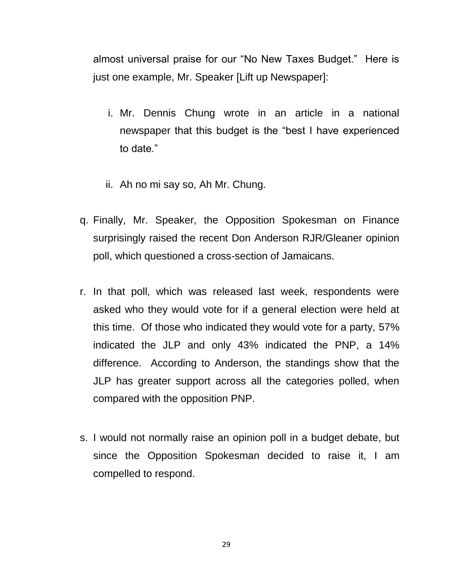almost universal praise for our "No New Taxes Budget." Here is just one example, Mr. Speaker [Lift up Newspaper]:

- i. Mr. Dennis Chung wrote in an article in a national newspaper that this budget is the "best I have experienced to date."
- ii. Ah no mi say so, Ah Mr. Chung.
- q. Finally, Mr. Speaker, the Opposition Spokesman on Finance surprisingly raised the recent Don Anderson RJR/Gleaner opinion poll, which questioned a cross-section of Jamaicans.
- r. In that poll, which was released last week, respondents were asked who they would vote for if a general election were held at this time. Of those who indicated they would vote for a party, 57% indicated the JLP and only 43% indicated the PNP, a 14% difference. According to Anderson, the standings show that the JLP has greater support across all the categories polled, when compared with the opposition PNP.
- s. I would not normally raise an opinion poll in a budget debate, but since the Opposition Spokesman decided to raise it, I am compelled to respond.

29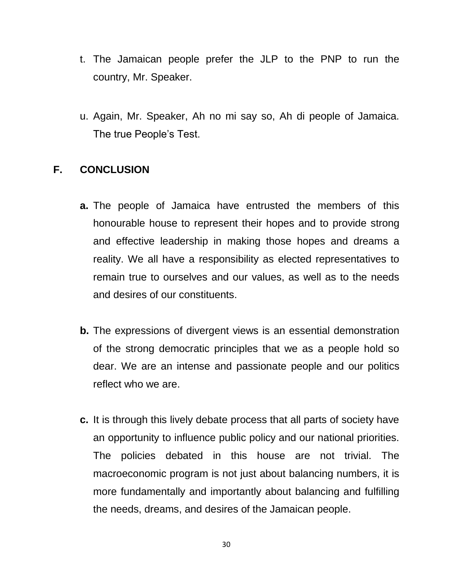- t. The Jamaican people prefer the JLP to the PNP to run the country, Mr. Speaker.
- u. Again, Mr. Speaker, Ah no mi say so, Ah di people of Jamaica. The true People's Test.

# **F. CONCLUSION**

- **a.** The people of Jamaica have entrusted the members of this honourable house to represent their hopes and to provide strong and effective leadership in making those hopes and dreams a reality. We all have a responsibility as elected representatives to remain true to ourselves and our values, as well as to the needs and desires of our constituents.
- **b.** The expressions of divergent views is an essential demonstration of the strong democratic principles that we as a people hold so dear. We are an intense and passionate people and our politics reflect who we are.
- **c.** It is through this lively debate process that all parts of society have an opportunity to influence public policy and our national priorities. The policies debated in this house are not trivial. The macroeconomic program is not just about balancing numbers, it is more fundamentally and importantly about balancing and fulfilling the needs, dreams, and desires of the Jamaican people.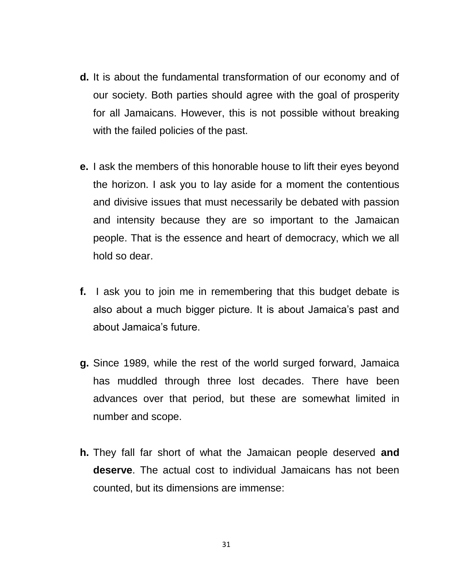- **d.** It is about the fundamental transformation of our economy and of our society. Both parties should agree with the goal of prosperity for all Jamaicans. However, this is not possible without breaking with the failed policies of the past.
- **e.** I ask the members of this honorable house to lift their eyes beyond the horizon. I ask you to lay aside for a moment the contentious and divisive issues that must necessarily be debated with passion and intensity because they are so important to the Jamaican people. That is the essence and heart of democracy, which we all hold so dear.
- **f.** I ask you to join me in remembering that this budget debate is also about a much bigger picture. It is about Jamaica's past and about Jamaica's future.
- **g.** Since 1989, while the rest of the world surged forward, Jamaica has muddled through three lost decades. There have been advances over that period, but these are somewhat limited in number and scope.
- **h.** They fall far short of what the Jamaican people deserved **and deserve**. The actual cost to individual Jamaicans has not been counted, but its dimensions are immense: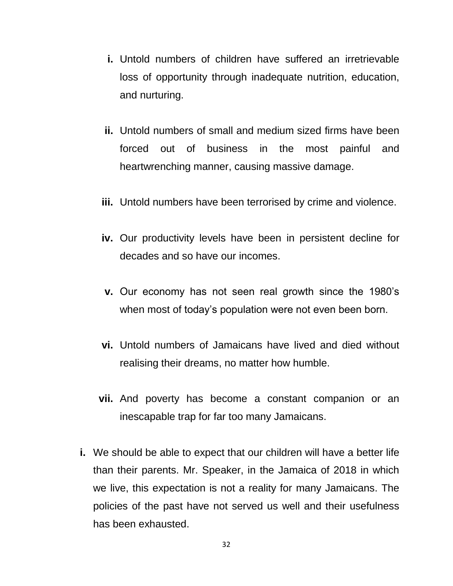- **i.** Untold numbers of children have suffered an irretrievable loss of opportunity through inadequate nutrition, education, and nurturing.
- **ii.** Untold numbers of small and medium sized firms have been forced out of business in the most painful and heartwrenching manner, causing massive damage.
- **iii.** Untold numbers have been terrorised by crime and violence.
- **iv.** Our productivity levels have been in persistent decline for decades and so have our incomes.
- **v.** Our economy has not seen real growth since the 1980's when most of today's population were not even been born.
- **vi.** Untold numbers of Jamaicans have lived and died without realising their dreams, no matter how humble.
- **vii.** And poverty has become a constant companion or an inescapable trap for far too many Jamaicans.
- **i.** We should be able to expect that our children will have a better life than their parents. Mr. Speaker, in the Jamaica of 2018 in which we live, this expectation is not a reality for many Jamaicans. The policies of the past have not served us well and their usefulness has been exhausted.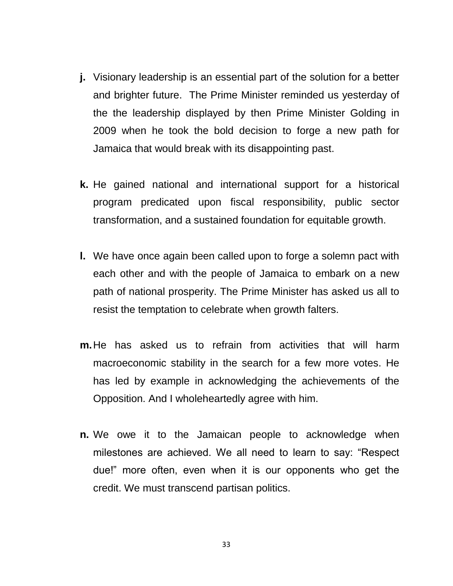- **j.** Visionary leadership is an essential part of the solution for a better and brighter future. The Prime Minister reminded us yesterday of the the leadership displayed by then Prime Minister Golding in 2009 when he took the bold decision to forge a new path for Jamaica that would break with its disappointing past.
- **k.** He gained national and international support for a historical program predicated upon fiscal responsibility, public sector transformation, and a sustained foundation for equitable growth.
- **l.** We have once again been called upon to forge a solemn pact with each other and with the people of Jamaica to embark on a new path of national prosperity. The Prime Minister has asked us all to resist the temptation to celebrate when growth falters.
- **m.**He has asked us to refrain from activities that will harm macroeconomic stability in the search for a few more votes. He has led by example in acknowledging the achievements of the Opposition. And I wholeheartedly agree with him.
- **n.** We owe it to the Jamaican people to acknowledge when milestones are achieved. We all need to learn to say: "Respect due!" more often, even when it is our opponents who get the credit. We must transcend partisan politics.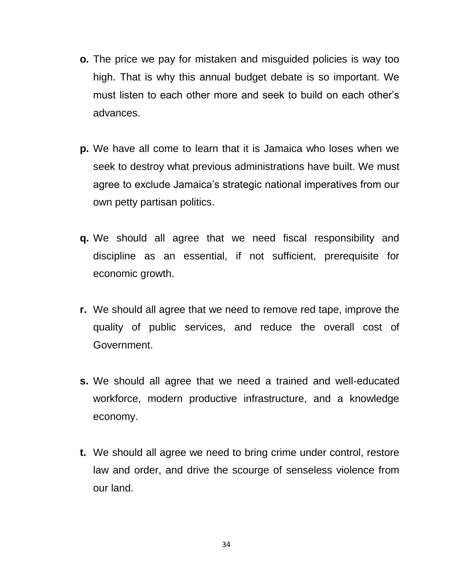- **o.** The price we pay for mistaken and misguided policies is way too high. That is why this annual budget debate is so important. We must listen to each other more and seek to build on each other's advances.
- **p.** We have all come to learn that it is Jamaica who loses when we seek to destroy what previous administrations have built. We must agree to exclude Jamaica's strategic national imperatives from our own petty partisan politics.
- **q.** We should all agree that we need fiscal responsibility and discipline as an essential, if not sufficient, prerequisite for economic growth.
- **r.** We should all agree that we need to remove red tape, improve the quality of public services, and reduce the overall cost of Government.
- **s.** We should all agree that we need a trained and well-educated workforce, modern productive infrastructure, and a knowledge economy.
- **t.** We should all agree we need to bring crime under control, restore law and order, and drive the scourge of senseless violence from our land.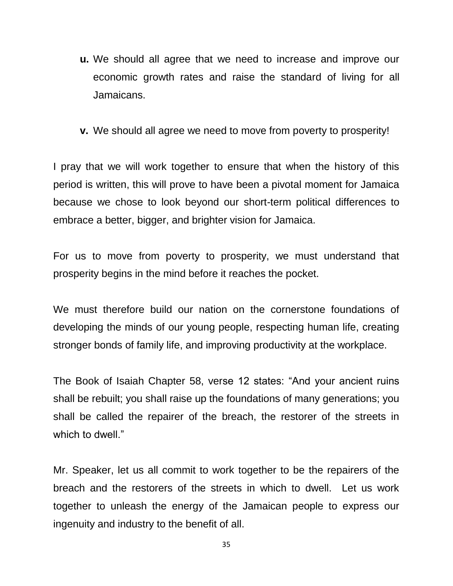- **u.** We should all agree that we need to increase and improve our economic growth rates and raise the standard of living for all Jamaicans.
- **v.** We should all agree we need to move from poverty to prosperity!

I pray that we will work together to ensure that when the history of this period is written, this will prove to have been a pivotal moment for Jamaica because we chose to look beyond our short-term political differences to embrace a better, bigger, and brighter vision for Jamaica.

For us to move from poverty to prosperity, we must understand that prosperity begins in the mind before it reaches the pocket.

We must therefore build our nation on the cornerstone foundations of developing the minds of our young people, respecting human life, creating stronger bonds of family life, and improving productivity at the workplace.

The Book of Isaiah Chapter 58, verse 12 states: "And your ancient ruins shall be rebuilt; you shall raise up the foundations of many generations; you shall be called the repairer of the breach, the restorer of the streets in which to dwell."

Mr. Speaker, let us all commit to work together to be the repairers of the breach and the restorers of the streets in which to dwell. Let us work together to unleash the energy of the Jamaican people to express our ingenuity and industry to the benefit of all.